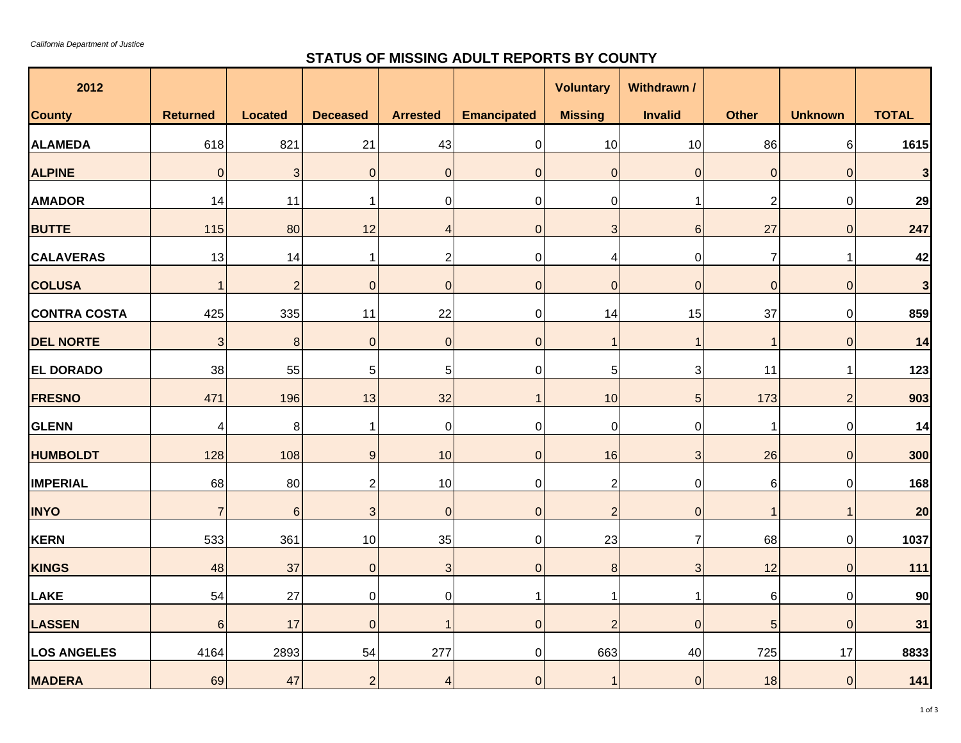## **STATUS OF MISSING ADULT REPORTS BY COUNTY**

| 2012                |                 |                |                 |                          |                    | <b>Voluntary</b>    | Withdrawn /    |                |                |                         |
|---------------------|-----------------|----------------|-----------------|--------------------------|--------------------|---------------------|----------------|----------------|----------------|-------------------------|
| <b>County</b>       | <b>Returned</b> | <b>Located</b> | <b>Deceased</b> | <b>Arrested</b>          | <b>Emancipated</b> | <b>Missing</b>      | <b>Invalid</b> | <b>Other</b>   | <b>Unknown</b> | <b>TOTAL</b>            |
| <b>ALAMEDA</b>      | 618             | 821            | 21              | 43                       | $\overline{0}$     | 10                  | $10$           | 86             | 6              | 1615                    |
| <b>ALPINE</b>       | $\overline{0}$  | 3              | $\mathbf 0$     | $\mathbf 0$              | $\overline{0}$     | $\pmb{0}$           | $\pmb{0}$      | $\mathbf 0$    | $\mathbf 0$    | $\overline{\mathbf{3}}$ |
| <b>AMADOR</b>       | 14              | 11             | $\mathbf 1$     | $\mathbf 0$              | $\pmb{0}$          | $\pmb{0}$           | $\mathbf 1$    | $\overline{2}$ | $\pmb{0}$      | 29                      |
| <b>BUTTE</b>        | 115             | 80             | 12              | $\overline{4}$           | $\overline{0}$     | 3                   | $\,6\,$        | 27             | 0              | 247                     |
| <b>CALAVERAS</b>    | 13              | 14             | $\mathbf{1}$    | $\overline{2}$           | $\overline{0}$     | 4                   | $\pmb{0}$      | $\overline{7}$ | 1              | 42                      |
| <b>COLUSA</b>       | $\mathbf{1}$    | $\overline{2}$ | $\overline{0}$  | $\mathbf 0$              | $\overline{0}$     | $\mathsf{O}\xspace$ | $\pmb{0}$      | $\mathbf 0$    | $\mathbf 0$    | $\overline{\mathbf{3}}$ |
| <b>CONTRA COSTA</b> | 425             | 335            | 11              | 22                       | $\Omega$           | 14                  | 15             | 37             | $\Omega$       | 859                     |
| <b>DEL NORTE</b>    | 3               | 8              | $\overline{0}$  | $\overline{0}$           | $\overline{0}$     | $\overline{1}$      | $\mathbf 1$    | 1              | $\mathbf 0$    | 14                      |
| <b>EL DORADO</b>    | 38              | 55             | $\overline{5}$  | $\overline{5}$           | 0                  | $\sqrt{5}$          | 3              | 11             | $\mathbf{1}$   | 123                     |
| <b>FRESNO</b>       | 471             | 196            | 13              | 32                       | $\mathbf{1}$       | 10                  | $\overline{5}$ | 173            | $\overline{2}$ | 903                     |
| <b>GLENN</b>        | 4               | 8              | $\mathbf 1$     | $\mathbf 0$              | $\mathbf 0$        | $\pmb{0}$           | $\pmb{0}$      |                | 0              | 14                      |
| <b>HUMBOLDT</b>     | 128             | 108            | 9               | 10                       | $\overline{0}$     | 16                  | $\mathfrak{S}$ | 26             | $\overline{0}$ | 300                     |
| <b>IMPERIAL</b>     | 68              | 80             | $\mathbf{2}$    | 10                       | $\Omega$           | $\overline{c}$      | 0              | 6              | 0              | 168                     |
| <b>INYO</b>         | $\overline{7}$  | $\,6\,$        | $\mathbf{3}$    | $\mathbf 0$              | $\overline{0}$     | $\overline{c}$      | $\pmb{0}$      | 1              | $\mathbf{1}$   | 20                      |
| <b>KERN</b>         | 533             | 361            | 10              | 35                       | $\mathbf 0$        | 23                  | $\overline{7}$ | 68             | $\overline{0}$ | 1037                    |
| <b>KINGS</b>        | 48              | 37             | $\mathbf 0$     | 3                        | $\overline{0}$     | $\bf 8$             | $\sqrt{3}$     | 12             | $\mathbf 0$    | 111                     |
| LAKE                | 54              | 27             | $\pmb{0}$       | $\pmb{0}$                | $\mathbf 1$        | $\mathbf{1}$        | $\mathbf{1}$   | $\,6$          | $\overline{0}$ | 90                      |
| <b>LASSEN</b>       | $6\phantom{1}$  | 17             | $\overline{0}$  | $\overline{\phantom{a}}$ | $\overline{0}$     | $\overline{2}$      | $\mathbf{0}$   | 5              | $\mathbf 0$    | 31                      |
| <b>LOS ANGELES</b>  | 4164            | 2893           | 54              | 277                      | $\overline{0}$     | 663                 | 40             | 725            | 17             | 8833                    |
| <b>MADERA</b>       | 69              | 47             | $\overline{2}$  | $\overline{4}$           | $\overline{0}$     | $\overline{1}$      | $\pmb{0}$      | 18             | $\overline{0}$ | 141                     |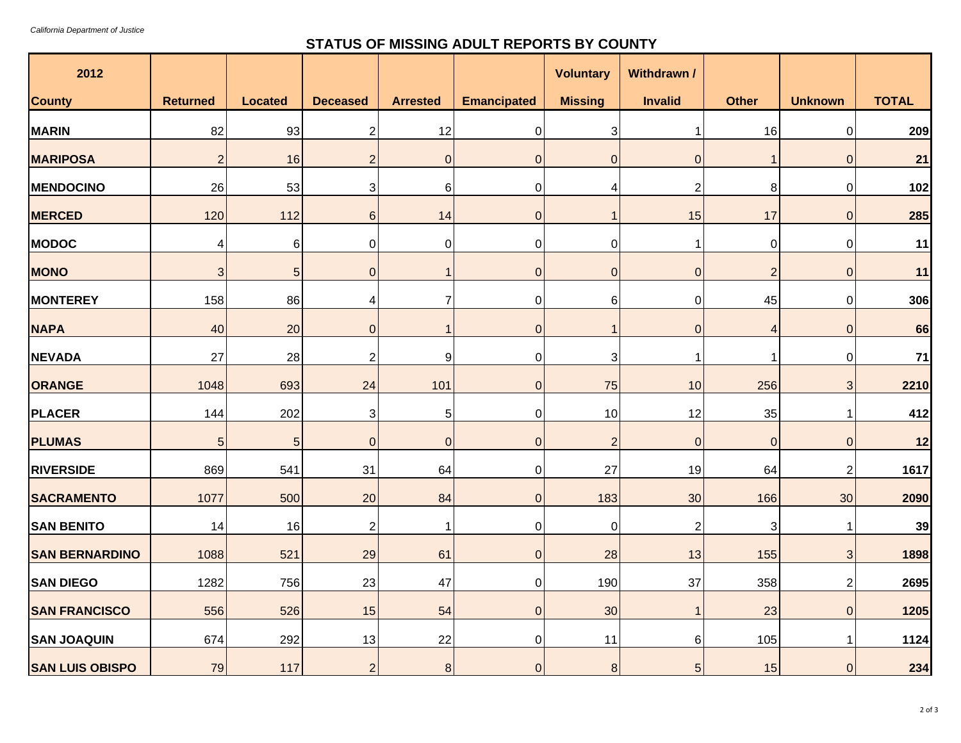## **STATUS OF MISSING ADULT REPORTS BY COUNTY**

| 2012                   |                 |                |                           |                 |                    | <b>Voluntary</b>          | Withdrawn /    |                |                |              |
|------------------------|-----------------|----------------|---------------------------|-----------------|--------------------|---------------------------|----------------|----------------|----------------|--------------|
| <b>County</b>          | <b>Returned</b> | <b>Located</b> | <b>Deceased</b>           | <b>Arrested</b> | <b>Emancipated</b> | <b>Missing</b>            | <b>Invalid</b> | <b>Other</b>   | <b>Unknown</b> | <b>TOTAL</b> |
| <b>MARIN</b>           | 82              | 93             | $\overline{c}$            | 12              | $\overline{0}$     | $\ensuremath{\mathsf{3}}$ | $\mathbf{1}$   | 16             | $\overline{0}$ | 209          |
| <b>MARIPOSA</b>        | $\overline{2}$  | 16             | $\overline{c}$            | $\mathbf 0$     | $\overline{0}$     | $\mathsf 0$               | $\pmb{0}$      | $\mathbf{1}$   | $\overline{O}$ | 21           |
| <b>MENDOCINO</b>       | 26              | 53             | 3                         | $\,6$           | $\overline{0}$     | 4                         | $\mathbf{2}$   | 8              | $\overline{0}$ | 102          |
| <b>MERCED</b>          | 120             | 112            | $\,6$                     | 14              | $\overline{0}$     | 1                         | 15             | 17             | 0              | 285          |
| <b>MODOC</b>           | 4               | $6\phantom{1}$ | $\pmb{0}$                 | $\mathbf 0$     | $\overline{0}$     | $\pmb{0}$                 | $\mathbf{1}$   | $\mathbf 0$    | $\pmb{0}$      | 11           |
| <b>MONO</b>            | $\sqrt{3}$      | 5              | $\pmb{0}$                 | 1               | $\overline{O}$     | $\mathbf 0$               | $\pmb{0}$      | $\overline{2}$ | $\pmb{0}$      | 11           |
| <b>MONTEREY</b>        | 158             | 86             | 4                         | $\overline{7}$  | $\overline{0}$     | 6                         | $\pmb{0}$      | 45             | 0              | 306          |
| <b>NAPA</b>            | 40              | 20             | $\pmb{0}$                 | 1               | $\overline{0}$     | $\overline{1}$            | $\pmb{0}$      | $\overline{4}$ | $\mathbf 0$    | 66           |
| <b>NEVADA</b>          | 27              | 28             | $\mathbf{2}$              | 9               | $\overline{0}$     | 3                         | 1              | $\mathbf 1$    | 0              | $71$         |
| ORANGE                 | 1048            | 693            | 24                        | 101             | $\overline{0}$     | 75                        | 10             | 256            | 3              | 2210         |
| <b>PLACER</b>          | 144             | 202            | $\ensuremath{\mathsf{3}}$ | 5               | $\overline{0}$     | 10                        | 12             | 35             | 1              | 412          |
| <b>PLUMAS</b>          | 5               | 5              | $\pmb{0}$                 | $\mathbf 0$     | $\overline{0}$     | $\overline{c}$            | $\pmb{0}$      | $\mathbf 0$    | $\mathbf 0$    | 12           |
| <b>RIVERSIDE</b>       | 869             | 541            | 31                        | 64              | $\overline{0}$     | 27                        | 19             | 64             | $\overline{c}$ | 1617         |
| <b>SACRAMENTO</b>      | 1077            | 500            | 20                        | 84              | $\overline{0}$     | 183                       | 30             | 166            | 30             | 2090         |
| <b>SAN BENITO</b>      | 14              | 16             | $\sqrt{2}$                | 1               | $\overline{0}$     | $\pmb{0}$                 | $\overline{c}$ | $\sqrt{3}$     | 1              | 39           |
| <b>SAN BERNARDINO</b>  | 1088            | 521            | 29                        | 61              | $\overline{0}$     | 28                        | 13             | 155            | 3              | 1898         |
| <b>SAN DIEGO</b>       | 1282            | 756            | 23                        | 47              | $\overline{0}$     | 190                       | 37             | 358            | 2              | 2695         |
| <b>SAN FRANCISCO</b>   | 556             | 526            | 15                        | 54              | $\overline{O}$     | 30                        | $\mathbf{1}$   | 23             | $\overline{0}$ | 1205         |
| <b>SAN JOAQUIN</b>     | 674             | 292            | 13                        | 22              | $\overline{0}$     | 11                        | 6              | 105            | 1              | 1124         |
| <b>SAN LUIS OBISPO</b> | 79              | 117            | $\mathbf 2$               | $\,8\,$         | $\overline{0}$     | $\, 8$                    | $\sqrt{5}$     | 15             | $\overline{0}$ | 234          |